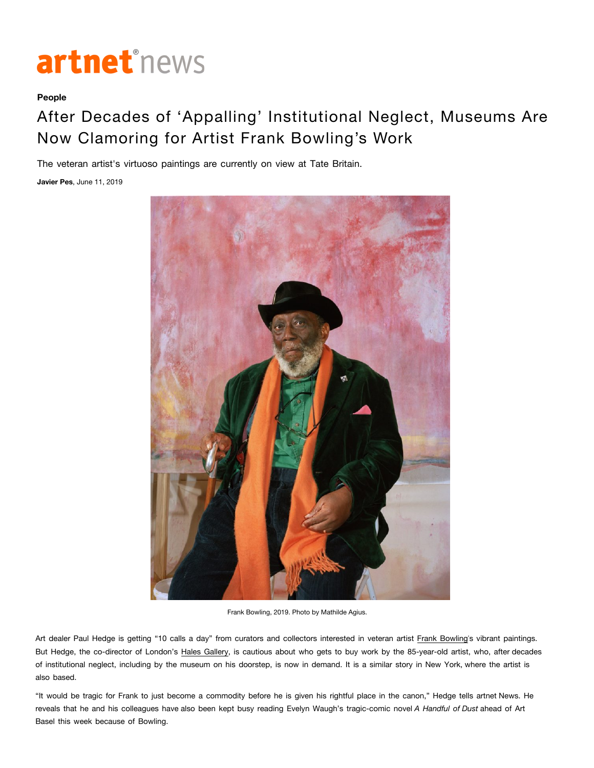## artnet<sup>®</sup>news

## **People**

## After Decades of 'Appalling' Institutional Neglect, Museums Are Now Clamoring for Artist Frank Bowling's Work

The veteran artist's virtuoso paintings are currently on view at Tate Britain.

**Javier Pes**, June 11, 2019



Frank Bowling, 2019. Photo by Mathilde Agius.

Art dealer Paul Hedge is getting "10 calls a day" from curators and collectors interested in veteran artist Frank Bowling's vibrant paintings. But Hedge, the co-director of London's Hales Gallery, is cautious about who gets to buy work by the 85-year-old artist, who, after decades of institutional neglect, including by the museum on his doorstep, is now in demand. It is a similar story in New York, where the artist is also based.

"It would be tragic for Frank to just become a commodity before he is given his rightful place in the canon," Hedge tells artnet News. He reveals that he and his colleagues have also been kept busy reading Evelyn Waugh's tragic-comic novel *A Handful of Dust* ahead of Art Basel this week because of Bowling.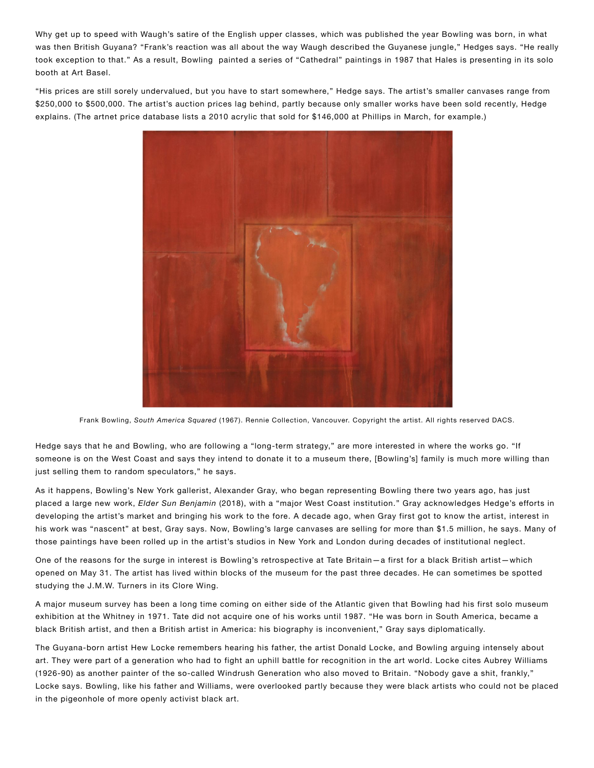Why get up to speed with Waugh's satire of the English upper classes, which was published the year Bowling was born, in what was then British Guyana? "Frank's reaction was all about the way Waugh described the Guyanese jungle," Hedges says. "He really took exception to that." As a result, Bowling painted a series of "Cathedral" paintings in 1987 that Hales is presenting in its solo booth at Art Basel.

"His prices are still sorely undervalued, but you have to start somewhere," Hedge says. The artist's smaller canvases range from \$250,000 to \$500,000. The artist's auction prices lag behind, partly because only smaller works have been sold recently, Hedge explains. (The artnet price database lists a 2010 acrylic that sold for \$146,000 at Phillips in March, for example.)



Frank Bowling, *South America Squared* (1967). Rennie Collection, Vancouver. Copyright the artist. All rights reserved DACS.

Hedge says that he and Bowling, who are following a "long-term strategy," are more interested in where the works go. "If someone is on the West Coast and says they intend to donate it to a museum there, [Bowling's] family is much more willing than just selling them to random speculators," he says.

As it happens, Bowling's New York gallerist, Alexander Gray, who began representing Bowling there two years ago, has just placed a large new work, *Elder Sun Benjamin* (2018), with a "major West Coast institution." Gray acknowledges Hedge's efforts in developing the artist's market and bringing his work to the fore. A decade ago, when Gray first got to know the artist, interest in his work was "nascent" at best, Gray says. Now, Bowling's large canvases are selling for more than \$1.5 million, he says. Many of those paintings have been rolled up in the artist's studios in New York and London during decades of institutional neglect.

One of the reasons for the surge in interest is Bowling's retrospective at Tate Britain—a first for a black British artist—which opened on May 31. The artist has lived within blocks of the museum for the past three decades. He can sometimes be spotted studying the J.M.W. Turners in its Clore Wing.

A major museum survey has been a long time coming on either side of the Atlantic given that Bowling had his first solo museum exhibition at the Whitney in 1971. Tate did not acquire one of his works until 1987. "He was born in South America, became a black British artist, and then a British artist in America: his biography is inconvenient," Gray says diplomatically.

The Guyana-born artist Hew Locke remembers hearing his father, the artist Donald Locke, and Bowling arguing intensely about art. They were part of a generation who had to fight an uphill battle for recognition in the art world. Locke cites Aubrey Williams (1926-90) as another painter of the so-called Windrush Generation who also moved to Britain. "Nobody gave a shit, frankly," Locke says. Bowling, like his father and Williams, were overlooked partly because they were black artists who could not be placed in the pigeonhole of more openly activist black art.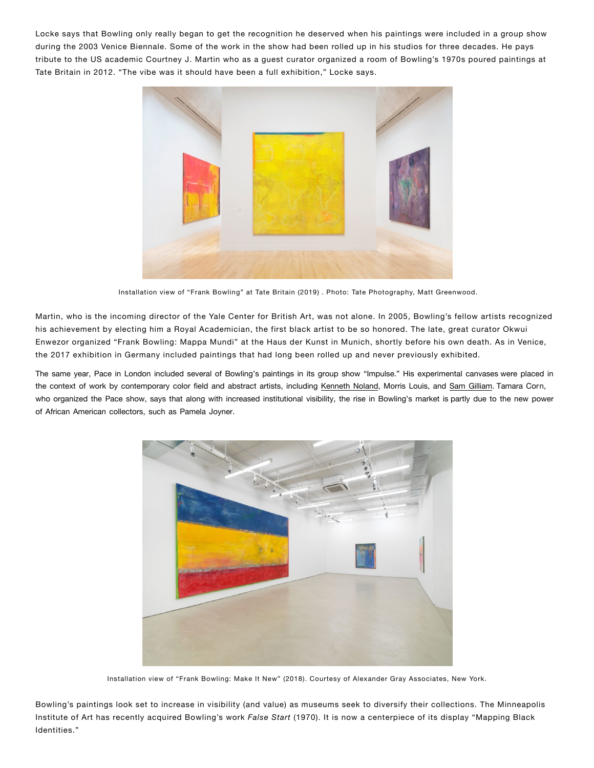Locke says that Bowling only really began to get the recognition he deserved when his paintings were included in a group show during the 2003 Venice Biennale. Some of the work in the show had been rolled up in his studios for three decades. He pays tribute to the US academic Courtney J. Martin who as a guest curator organized a room of Bowling's 1970s poured paintings at Tate Britain in 2012. "The vibe was it should have been a full exhibition," Locke says.



Installation view of "Frank Bowling" at Tate Britain (2019) . Photo: Tate Photography, Matt Greenwood.

Martin, who is the incoming director of the Yale Center for British Art, was not alone. In 2005, Bowling's fellow artists recognized his achievement by electing him a Royal Academician, the first black artist to be so honored. The late, great curator Okwui Enwezor organized "Frank Bowling: Mappa Mundi" at the Haus der Kunst in Munich, shortly before his own death. As in Venice, the 2017 exhibition in Germany included paintings that had long been rolled up and never previously exhibited.

The same year, Pace in London included several of Bowling's paintings in its group show "Impulse." His experimental canvases were placed in the context of work by contemporary color field and abstract artists, including Kenneth Noland, Morris Louis, and Sam Gilliam. Tamara Corn, who organized the Pace show, says that along with increased institutional visibility, the rise in Bowling's market is partly due to the new power of African American collectors, such as Pamela Joyner.



Installation view of "Frank Bowling: Make It New" (2018). Courtesy of Alexander Gray Associates, New York.

Bowling's paintings look set to increase in visibility (and value) as museums seek to diversify their collections. The Minneapolis Institute of Art has recently acquired Bowling's work False Start (1970). It is now a centerpiece of its display "Mapping Black Identities."